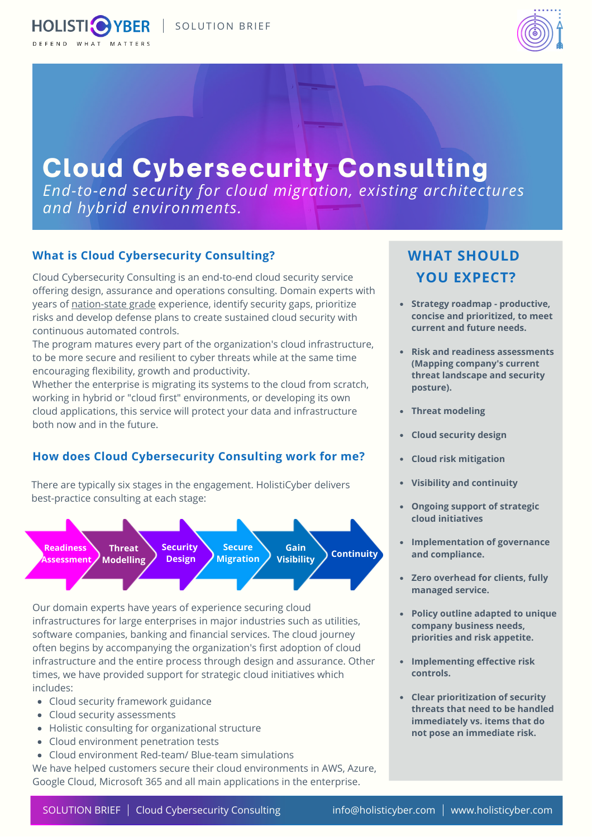



# Cloud Cybersecurity Consulting

*End-to-end security for cloud migration, existing architectures and hybrid environments.*

## **What is Cloud Cybersecurity Consulting?**

Cloud Cybersecurity Consulting is an end-to-end cloud security service offering design, assurance and operations consulting. Domain experts with years of [nation-state](https://holisticyber.com/nation-state-grade-methodology/) grade experience, identify security gaps, prioritize risks and develop defense plans to create sustained cloud security with continuous automated controls.

The program matures every part of the organization's cloud infrastructure, to be more secure and resilient to cyber threats while at the same time encouraging flexibility, growth and productivity.

Whether the enterprise is migrating its systems to the cloud from scratch, working in hybrid or "cloud first" environments, or developing its own cloud applications, this service will protect your data and infrastructure both now and in the future.

# **How does Cloud Cybersecurity Consulting work for me?**

There are typically six stages in the engagement. HolistiCyber delivers best-practice consulting at each stage:



Our domain experts have years of experience securing cloud infrastructures for large enterprises in major industries such as utilities, software companies, banking and financial services. The cloud journey often begins by accompanying the organization's first adoption of cloud infrastructure and the entire process through design and assurance. Other times, we have provided support for strategic cloud initiatives which includes:

- Cloud security framework guidance
- Cloud security assessments
- Holistic consulting for organizational structure
- Cloud environment penetration tests
- Cloud environment Red-team/ Blue-team simulations

We have helped customers secure their cloud environments in AWS, Azure, Google Cloud, Microsoft 365 and all main applications in the enterprise.

# **WHAT SHOULD YOU EXPECT?**

- **Strategy roadmap productive, concise and prioritized, to meet current and future needs.**
- **Risk and readiness assessments (Mapping company's current threat landscape and security posture).**
- **Threat modeling**
- **Cloud security design**
- **Cloud risk mitigation**
- **Visibility and continuity**
- **Ongoing support of strategic cloud initiatives**
- **Implementation of governance and compliance.**
- **Zero overhead for clients, fully managed service.**
- **Policy outline adapted to unique company business needs, priorities and risk appetite.**
- **Implementing effective risk controls.**
- **Clear prioritization of security threats that need to be handled immediately vs. items that do not pose an immediate risk.**